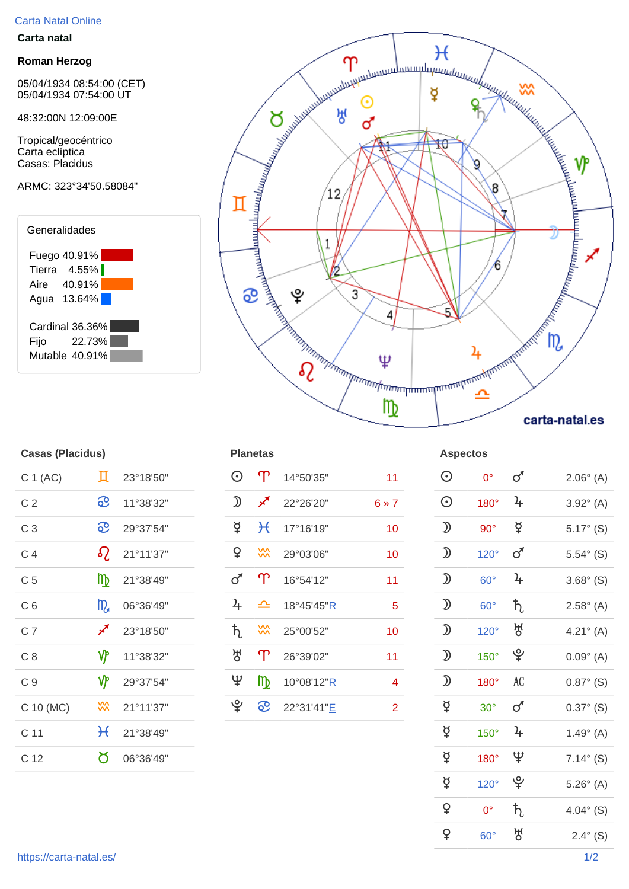## Carta Natal Online

## **Carta natal**

## **Roman Herzog**

05/04/1934 08:54:00 (CET) 05/04/1934 07:54:00 UT

48:32:00N 12:09:00E

Tropical/geocéntrico Carta eclíptica Casas: Placidus

## ARMC: 323°34'50.58084"





| <b>Casas (Placidus)</b> |                                                                                                                                                                                                                                                                                                                                                                                                                                                            |           |  |               | <b>Planetas</b> | <b>Aspectos</b> |                |               |                 |
|-------------------------|------------------------------------------------------------------------------------------------------------------------------------------------------------------------------------------------------------------------------------------------------------------------------------------------------------------------------------------------------------------------------------------------------------------------------------------------------------|-----------|--|---------------|-----------------|-----------------|----------------|---------------|-----------------|
| C 1 (AC)                | Д                                                                                                                                                                                                                                                                                                                                                                                                                                                          | 23°18'50" |  | $\odot$       | $\Upsilon$      | 14°50'35"       | 11             | $\odot$       | C               |
| C <sub>2</sub>          | <u>ေ</u>                                                                                                                                                                                                                                                                                                                                                                                                                                                   | 11°38'32" |  | ⅅ             | ∕∕              | 22°26'20"       | $6*7$          | $\odot$       | 18              |
| C <sub>3</sub>          | <u>ေ</u>                                                                                                                                                                                                                                                                                                                                                                                                                                                   | 29°37'54" |  | ₫             | $\mathcal{H}$   | 17°16'19"       | 10             | $\mathfrak D$ | 9               |
| C <sub>4</sub>          | $\mathcal{S}_{\mathcal{C}}$                                                                                                                                                                                                                                                                                                                                                                                                                                | 21°11'37" |  | ¥             | $\frac{2}{2}$   | 29°03'06"       | 10             | $\mathfrak D$ | 12              |
| C <sub>5</sub>          | ₥                                                                                                                                                                                                                                                                                                                                                                                                                                                          | 21°38'49" |  | ♂             | $\Upsilon$      | 16°54'12"       | 11             | $\mathfrak D$ | $6\phantom{1}6$ |
| C <sub>6</sub>          | m                                                                                                                                                                                                                                                                                                                                                                                                                                                          | 06°36'49" |  | $\frac{1}{2}$ | ≏               | 18°45'45"R      | $\overline{5}$ | $\mathfrak D$ | $6\phantom{1}6$ |
| C <sub>7</sub>          | ∕                                                                                                                                                                                                                                                                                                                                                                                                                                                          | 23°18'50" |  | $\hbar$       | $\frac{2}{3}$   | 25°00'52"       | 10             | $\mathfrak D$ | 12              |
| C8                      | ℽ                                                                                                                                                                                                                                                                                                                                                                                                                                                          | 11°38'32" |  | 썽             | $\Upsilon$      | 26°39'02"       | 11             | $\mathfrak D$ | 15              |
| C <sub>9</sub>          | ℽ                                                                                                                                                                                                                                                                                                                                                                                                                                                          | 29°37'54" |  | Ψ             | $\mathbb{D}$    | 10°08'12"R      | 4              | $\mathfrak D$ | 18              |
| C 10 (MC)               | XX                                                                                                                                                                                                                                                                                                                                                                                                                                                         | 21°11'37" |  | ပ္န           | <u>ေ</u>        | 22°31'41"E      | $\overline{2}$ | ₫             | 3               |
| C 11                    | $\mathcal{H}% _{0}\left( t\right) =\mathcal{H}_{0}\left( t\right) ^{2}+\mathcal{H}_{1}\left( t\right) ^{2}+\mathcal{H}_{2}\left( t\right) ^{2}+\mathcal{H}_{1}\left( t\right) ^{2}+\mathcal{H}_{2}\left( t\right) ^{2}+\mathcal{H}_{1}\left( t\right) ^{2}+\mathcal{H}_{2}\left( t\right) ^{2}+\mathcal{H}_{1}\left( t\right) ^{2}+\mathcal{H}_{2}\left( t\right) ^{2}+\mathcal{H}_{2}\left( t\right) ^{2}+\mathcal{H}_{1}\left( t\right) ^{2}+\mathcal{H$ | 21°38'49" |  |               |                 |                 |                | ₫             | 15              |
| C 12                    | ර                                                                                                                                                                                                                                                                                                                                                                                                                                                          | 06°36'49" |  |               |                 |                 |                | ₫             | 18              |

| ----- 1. .------ <i>1</i> |                            |           |               |                               |            |                 |                                                                                                         |             |                 |                     |
|---------------------------|----------------------------|-----------|---------------|-------------------------------|------------|-----------------|---------------------------------------------------------------------------------------------------------|-------------|-----------------|---------------------|
| C 1 (AC)                  | Д                          | 23°18'50" | $\odot$       | $\Upsilon$                    | 14°50'35"  | 11              | $\odot$                                                                                                 | $0^{\circ}$ | $\sigma$        | $2.06^{\circ}$ (A)  |
| C <sub>2</sub>            | <u>၉</u>                   | 11°38'32" | ℌ             | ∕∕                            | 22°26'20"  | $6 \times 7$    | $\odot$                                                                                                 | $180^\circ$ | $\frac{2}{\pi}$ | $3.92^{\circ}$ (A)  |
| C <sub>3</sub>            | <u> တ</u>                  | 29°37'54" | ₫             | $\mathcal{H}$                 | 17°16'19"  | 10 <sup>°</sup> | $\mathfrak D$                                                                                           | $90^\circ$  | $\beta$         | $5.17^{\circ}$ (S)  |
| C <sub>4</sub>            | $\Omega$                   | 21°11'37" | $\mathsf{Q}$  | $\frac{2}{3}$                 | 29°03'06"  | 10 <sub>1</sub> | $\mathfrak{D}% _{T}=\mathfrak{D}_{T}\!\left( a,b\right) ,\ \mathfrak{D}_{T}=C_{T}\!\left( a,b\right) ,$ | $120^\circ$ | $\sigma$        | $5.54^{\circ}$ (S)  |
| C <sub>5</sub>            | m <sub>b</sub>             | 21°38'49" | ♂             | $\Upsilon$                    | 16°54'12"  | 11              | $\mathfrak D$                                                                                           | $60^\circ$  | $\frac{2}{\pi}$ | $3.68^{\circ}$ (S)  |
| C <sub>6</sub>            | $m_a$                      | 06°36'49" | $\frac{1}{2}$ | $\mathbf{\underline{\frown}}$ | 18°45'45"R | 5               | $\mathfrak D$                                                                                           | $60^\circ$  | $\hbar$         | $2.58^{\circ}$ (A)  |
| C <sub>7</sub>            | $\boldsymbol{\mathscr{J}}$ | 23°18'50" | ħ,            | $\frac{2}{3}$                 | 25°00'52"  | 10 <sub>1</sub> | $\mathfrak D$                                                                                           | $120^\circ$ | ਲ੍ਹ             | 4.21 $^{\circ}$ (A) |
| C8                        | ₩                          | 11°38'32" | 생             | $\mathbf{T}$                  | 26°39'02"  | 11              | $\mathfrak{D}% _{T}=\mathfrak{D}_{T}\!\left( a,b\right) ,\ \mathfrak{D}_{T}=C_{T}\!\left( a,b\right) ,$ | $150^\circ$ | ೪               | $0.09^{\circ}$ (A)  |
| C <sub>9</sub>            | ₩                          | 29°37'54" | Ψ             | m                             | 10°08'12"R | 4               | $\mathfrak D$                                                                                           | $180^\circ$ | AC              | $0.87^{\circ}$ (S)  |
| C 10 (MC)                 | $\frac{2}{3}$              | 21°11'37" | ৺             | <u> က</u>                     | 22°31'41"E | 2               | $\breve{\vec{r}}$                                                                                       | $30^\circ$  | $\sigma$        | $0.37^{\circ}$ (S)  |

| Gasas (Piacidus) |                             |           |                                                                                                         | <b>Planetas</b>            |            |                 | <b>ASPECTOS</b>                                                                                         |             |                      |                    |
|------------------|-----------------------------|-----------|---------------------------------------------------------------------------------------------------------|----------------------------|------------|-----------------|---------------------------------------------------------------------------------------------------------|-------------|----------------------|--------------------|
| C 1 (AC)         | Д                           | 23°18'50" | $\odot$                                                                                                 | $\Upsilon$                 | 14°50'35"  | 11              | $\odot$                                                                                                 | $0^{\circ}$ | $\sigma$             | $2.06^{\circ}$ (A) |
| C <sub>2</sub>   | <u>ေ</u>                    | 11°38'32" | $\mathfrak{D}% _{T}=\mathfrak{D}_{T}\!\left( a,b\right) ,\ \mathfrak{D}_{T}=C_{T}\!\left( a,b\right) ,$ | $\boldsymbol{\mathscr{Z}}$ | 22°26'20"  | $6 * 7$         | $\odot$                                                                                                 | 180°        | $\frac{1}{2}$        | $3.92^{\circ}$ (A) |
| C <sub>3</sub>   | <u>ေ</u>                    | 29°37'54" | $\beta$                                                                                                 | $\mathcal{H}$              | 17°16'19"  | 10              | $\mathfrak{D}% _{T}=\mathfrak{D}_{T}\!\left( a,b\right) ,\ \mathfrak{D}_{T}=C_{T}\!\left( a,b\right) ,$ | $90^\circ$  | $\breve{\mathrm{A}}$ | $5.17^{\circ}$ (S) |
| C <sub>4</sub>   | $\mathcal{S}_{\mathcal{C}}$ | 21°11'37" | $\mathsf{P}$                                                                                            | <b>3%</b>                  | 29°03'06"  | 10              | $\mathfrak D$                                                                                           | $120^\circ$ | $\sigma$             | $5.54^{\circ}$ (S) |
| C <sub>5</sub>   | m                           | 21°38'49" | $\sigma$                                                                                                | $\Upsilon$                 | 16°54'12"  | 11              | $\mathfrak{D}% _{T}=\mathfrak{D}_{T}\!\left( a,b\right) ,\ \mathfrak{D}_{T}=C_{T}\!\left( a,b\right) ,$ | $60^\circ$  | $\frac{2}{\pi}$      | $3.68^{\circ}$ (S) |
| C <sub>6</sub>   | m                           | 06°36'49" | $\frac{1}{2}$                                                                                           | 스                          | 18°45'45"R | 5               | $\mathfrak{D}% _{T}=\mathfrak{D}_{T}\!\left( a,b\right) ,\ \mathfrak{D}_{T}=C_{T}\!\left( a,b\right) ,$ | $60^\circ$  | $\hbar$              | $2.58^{\circ}$ (A) |
| C <sub>7</sub>   | ∕                           | 23°18'50" | $\hbar$                                                                                                 | $\frac{2}{3}$              | 25°00'52"  | 10 <sub>1</sub> | $\mathfrak{D}% _{T}=\mathfrak{D}_{T}\!\left( a,b\right) ,\ \mathfrak{D}_{T}=C_{T}\!\left( a,b\right) ,$ | $120^\circ$ | ਲ੍ਹ                  | $4.21^{\circ}$ (A) |
| C8               | $\mathbf{\hat{y}}$          | 11°38'32" | 생                                                                                                       | $\Upsilon$                 | 26°39'02"  | 11              | $\mathfrak{D}% _{T}=\mathfrak{D}_{T}\!\left( a,b\right) ,\ \mathfrak{D}_{T}=C_{T}\!\left( a,b\right) ,$ | $150^\circ$ | ೪                    | $0.09^{\circ}$ (A) |
| C <sub>9</sub>   | $\mathbf{\hat{v}}$          | 29°37'54" | $\Psi$                                                                                                  | m                          | 10°08'12"R | $\overline{4}$  | $\mathfrak{D}% _{T}=\mathfrak{D}_{T}\!\left( a,b\right) ,\ \mathfrak{D}_{T}=C_{T}\!\left( a,b\right) ,$ | $180^\circ$ | AC                   | $0.87^{\circ}$ (S) |
| C 10 (MC)        | $\frac{2}{3}$               | 21°11'37" | ¥                                                                                                       | <u>ေ</u>                   | 22°31'41"E | $\overline{2}$  | $\breve{\sigma}$                                                                                        | $30^\circ$  | $\sigma$             | $0.37^{\circ}$ (S) |
| C <sub>11</sub>  | $\mathcal{H}$               | 21°38'49" |                                                                                                         |                            |            |                 | $\beta$                                                                                                 | $150^\circ$ | $\frac{1}{2}$        | $1.49^{\circ}$ (A) |
| C <sub>12</sub>  | ୪                           | 06°36'49" |                                                                                                         |                            |            |                 | $\beta$                                                                                                 | 180°        | Ψ                    | $7.14^{\circ}$ (S) |
|                  |                             |           |                                                                                                         |                            |            |                 | $\beta$                                                                                                 | $120^\circ$ | ೪                    | $5.26^{\circ}$ (A) |
|                  |                             |           |                                                                                                         |                            |            |                 | $\mathsf{Q}$                                                                                            | $0^{\circ}$ | $\hbar$              | $4.04^{\circ}$ (S) |
|                  |                             |           |                                                                                                         |                            |            |                 | $\mathsf{P}$                                                                                            | $60^\circ$  | ਲ੍ਹ                  | $2.4^{\circ}$ (S)  |
|                  |                             |           |                                                                                                         |                            |            |                 |                                                                                                         |             |                      |                    |